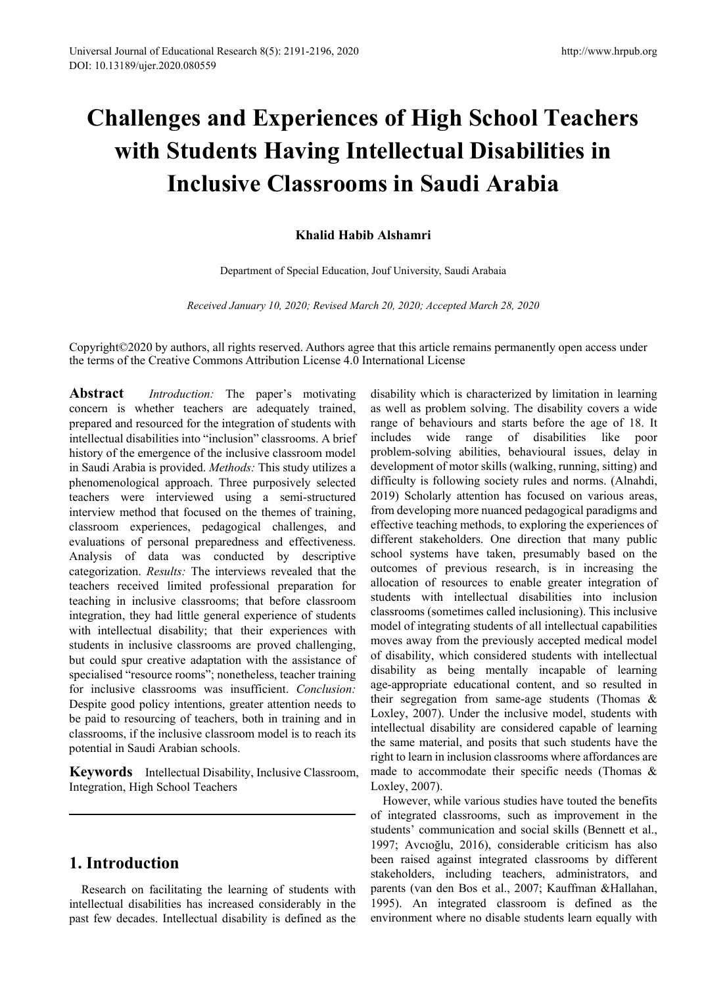# **Challenges and Experiences of High School Teachers with Students Having Intellectual Disabilities in Inclusive Classrooms in Saudi Arabia**

## **Khalid Habib Alshamri**

Department of Special Education, Jouf University, Saudi Arabaia

*Received January 10, 2020; Revised March 20, 2020; Accepted March 28, 2020*

Copyright©2020 by authors, all rights reserved. Authors agree that this article remains permanently open access under the terms of the Creative Commons Attribution License 4.0 International License

**Abstract** *Introduction:* The paper's motivating concern is whether teachers are adequately trained, prepared and resourced for the integration of students with intellectual disabilities into "inclusion" classrooms. A brief history of the emergence of the inclusive classroom model in Saudi Arabia is provided. *Methods:* This study utilizes a phenomenological approach. Three purposively selected teachers were interviewed using a semi-structured interview method that focused on the themes of training, classroom experiences, pedagogical challenges, and evaluations of personal preparedness and effectiveness. Analysis of data was conducted by descriptive categorization. *Results:* The interviews revealed that the teachers received limited professional preparation for teaching in inclusive classrooms; that before classroom integration, they had little general experience of students with intellectual disability; that their experiences with students in inclusive classrooms are proved challenging, but could spur creative adaptation with the assistance of specialised "resource rooms"; nonetheless, teacher training for inclusive classrooms was insufficient. *Conclusion:*  Despite good policy intentions, greater attention needs to be paid to resourcing of teachers, both in training and in classrooms, if the inclusive classroom model is to reach its potential in Saudi Arabian schools.

**Keywords** Intellectual Disability, Inclusive Classroom, Integration, High School Teachers

# **1. Introduction**

Research on facilitating the learning of students with intellectual disabilities has increased considerably in the past few decades. Intellectual disability is defined as the

disability which is characterized by limitation in learning as well as problem solving. The disability covers a wide range of behaviours and starts before the age of 18. It includes wide range of disabilities like poor problem-solving abilities, behavioural issues, delay in development of motor skills (walking, running, sitting) and difficulty is following society rules and norms. (Alnahdi, 2019) Scholarly attention has focused on various areas, from developing more nuanced pedagogical paradigms and effective teaching methods, to exploring the experiences of different stakeholders. One direction that many public school systems have taken, presumably based on the outcomes of previous research, is in increasing the allocation of resources to enable greater integration of students with intellectual disabilities into inclusion classrooms (sometimes called inclusioning). This inclusive model of integrating students of all intellectual capabilities moves away from the previously accepted medical model of disability, which considered students with intellectual disability as being mentally incapable of learning age-appropriate educational content, and so resulted in their segregation from same-age students (Thomas & Loxley, 2007). Under the inclusive model, students with intellectual disability are considered capable of learning the same material, and posits that such students have the right to learn in inclusion classrooms where affordances are made to accommodate their specific needs (Thomas & Loxley, 2007).

However, while various studies have touted the benefits of integrated classrooms, such as improvement in the students' communication and social skills (Bennett et al., 1997; Avcıoğlu, 2016), considerable criticism has also been raised against integrated classrooms by different stakeholders, including teachers, administrators, and parents (van den Bos et al., 2007; Kauffman &Hallahan, 1995). An integrated classroom is defined as the environment where no disable students learn equally with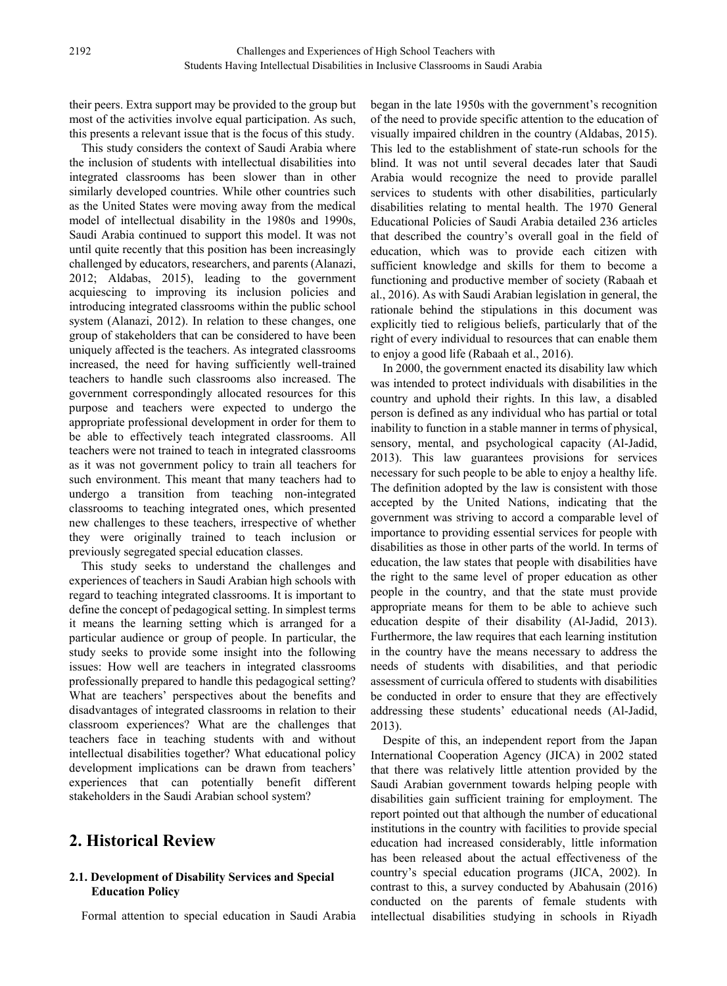their peers. Extra support may be provided to the group but most of the activities involve equal participation. As such, this presents a relevant issue that is the focus of this study.

This study considers the context of Saudi Arabia where the inclusion of students with intellectual disabilities into integrated classrooms has been slower than in other similarly developed countries. While other countries such as the United States were moving away from the medical model of intellectual disability in the 1980s and 1990s, Saudi Arabia continued to support this model. It was not until quite recently that this position has been increasingly challenged by educators, researchers, and parents (Alanazi, 2012; Aldabas, 2015), leading to the government acquiescing to improving its inclusion policies and introducing integrated classrooms within the public school system (Alanazi, 2012). In relation to these changes, one group of stakeholders that can be considered to have been uniquely affected is the teachers. As integrated classrooms increased, the need for having sufficiently well-trained teachers to handle such classrooms also increased. The government correspondingly allocated resources for this purpose and teachers were expected to undergo the appropriate professional development in order for them to be able to effectively teach integrated classrooms. All teachers were not trained to teach in integrated classrooms as it was not government policy to train all teachers for such environment. This meant that many teachers had to undergo a transition from teaching non-integrated classrooms to teaching integrated ones, which presented new challenges to these teachers, irrespective of whether they were originally trained to teach inclusion or previously segregated special education classes.

This study seeks to understand the challenges and experiences of teachers in Saudi Arabian high schools with regard to teaching integrated classrooms. It is important to define the concept of pedagogical setting. In simplest terms it means the learning setting which is arranged for a particular audience or group of people. In particular, the study seeks to provide some insight into the following issues: How well are teachers in integrated classrooms professionally prepared to handle this pedagogical setting? What are teachers' perspectives about the benefits and disadvantages of integrated classrooms in relation to their classroom experiences? What are the challenges that teachers face in teaching students with and without intellectual disabilities together? What educational policy development implications can be drawn from teachers' experiences that can potentially benefit different stakeholders in the Saudi Arabian school system?

# **2. Historical Review**

### **2.1. Development of Disability Services and Special Education Policy**

Formal attention to special education in Saudi Arabia

began in the late 1950s with the government's recognition of the need to provide specific attention to the education of visually impaired children in the country (Aldabas, 2015). This led to the establishment of state-run schools for the blind. It was not until several decades later that Saudi Arabia would recognize the need to provide parallel services to students with other disabilities, particularly disabilities relating to mental health. The 1970 General Educational Policies of Saudi Arabia detailed 236 articles that described the country's overall goal in the field of education, which was to provide each citizen with sufficient knowledge and skills for them to become a functioning and productive member of society (Rabaah et al., 2016). As with Saudi Arabian legislation in general, the rationale behind the stipulations in this document was explicitly tied to religious beliefs, particularly that of the right of every individual to resources that can enable them to enjoy a good life (Rabaah et al., 2016).

In 2000, the government enacted its disability law which was intended to protect individuals with disabilities in the country and uphold their rights. In this law, a disabled person is defined as any individual who has partial or total inability to function in a stable manner in terms of physical, sensory, mental, and psychological capacity (Al-Jadid, 2013). This law guarantees provisions for services necessary for such people to be able to enjoy a healthy life. The definition adopted by the law is consistent with those accepted by the United Nations, indicating that the government was striving to accord a comparable level of importance to providing essential services for people with disabilities as those in other parts of the world. In terms of education, the law states that people with disabilities have the right to the same level of proper education as other people in the country, and that the state must provide appropriate means for them to be able to achieve such education despite of their disability (Al-Jadid, 2013). Furthermore, the law requires that each learning institution in the country have the means necessary to address the needs of students with disabilities, and that periodic assessment of curricula offered to students with disabilities be conducted in order to ensure that they are effectively addressing these students' educational needs (Al-Jadid, 2013).

Despite of this, an independent report from the Japan International Cooperation Agency (JICA) in 2002 stated that there was relatively little attention provided by the Saudi Arabian government towards helping people with disabilities gain sufficient training for employment. The report pointed out that although the number of educational institutions in the country with facilities to provide special education had increased considerably, little information has been released about the actual effectiveness of the country's special education programs (JICA, 2002). In contrast to this, a survey conducted by Abahusain (2016) conducted on the parents of female students with intellectual disabilities studying in schools in Riyadh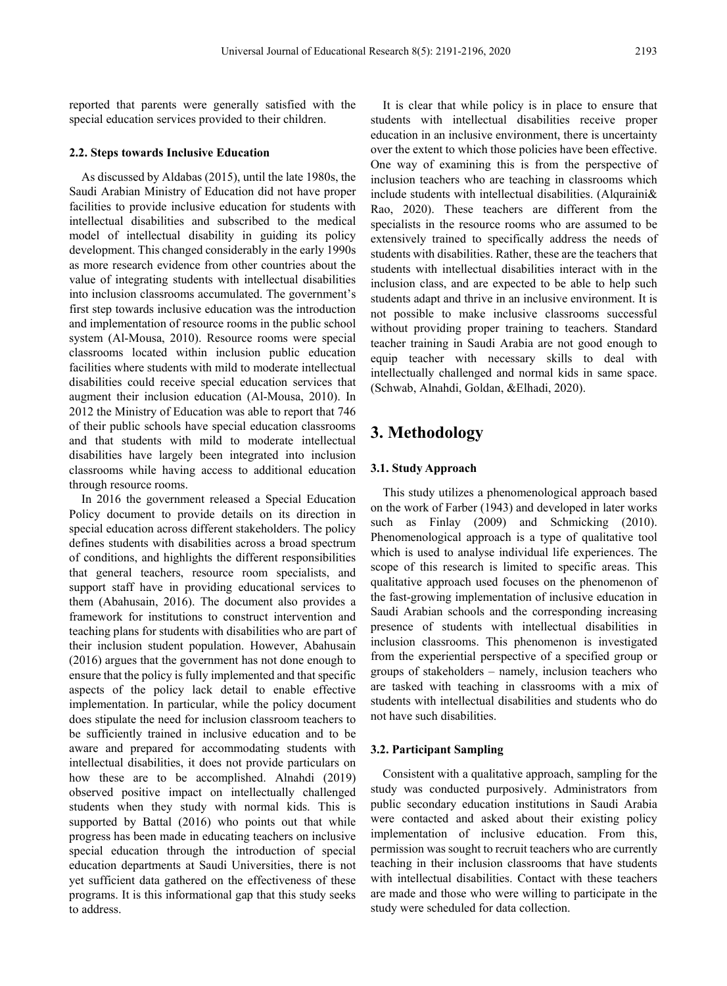reported that parents were generally satisfied with the special education services provided to their children.

#### **2.2. Steps towards Inclusive Education**

As discussed by Aldabas (2015), until the late 1980s, the Saudi Arabian Ministry of Education did not have proper facilities to provide inclusive education for students with intellectual disabilities and subscribed to the medical model of intellectual disability in guiding its policy development. This changed considerably in the early 1990s as more research evidence from other countries about the value of integrating students with intellectual disabilities into inclusion classrooms accumulated. The government's first step towards inclusive education was the introduction and implementation of resource rooms in the public school system (Al-Mousa, 2010). Resource rooms were special classrooms located within inclusion public education facilities where students with mild to moderate intellectual disabilities could receive special education services that augment their inclusion education (Al-Mousa, 2010). In 2012 the Ministry of Education was able to report that 746 of their public schools have special education classrooms and that students with mild to moderate intellectual disabilities have largely been integrated into inclusion classrooms while having access to additional education through resource rooms.

In 2016 the government released a Special Education Policy document to provide details on its direction in special education across different stakeholders. The policy defines students with disabilities across a broad spectrum of conditions, and highlights the different responsibilities that general teachers, resource room specialists, and support staff have in providing educational services to them (Abahusain, 2016). The document also provides a framework for institutions to construct intervention and teaching plans for students with disabilities who are part of their inclusion student population. However, Abahusain (2016) argues that the government has not done enough to ensure that the policy is fully implemented and that specific aspects of the policy lack detail to enable effective implementation. In particular, while the policy document does stipulate the need for inclusion classroom teachers to be sufficiently trained in inclusive education and to be aware and prepared for accommodating students with intellectual disabilities, it does not provide particulars on how these are to be accomplished. Alnahdi (2019) observed positive impact on intellectually challenged students when they study with normal kids. This is supported by Battal (2016) who points out that while progress has been made in educating teachers on inclusive special education through the introduction of special education departments at Saudi Universities, there is not yet sufficient data gathered on the effectiveness of these programs. It is this informational gap that this study seeks to address.

It is clear that while policy is in place to ensure that students with intellectual disabilities receive proper education in an inclusive environment, there is uncertainty over the extent to which those policies have been effective. One way of examining this is from the perspective of inclusion teachers who are teaching in classrooms which include students with intellectual disabilities. (Alquraini& Rao, 2020). These teachers are different from the specialists in the resource rooms who are assumed to be extensively trained to specifically address the needs of students with disabilities. Rather, these are the teachers that students with intellectual disabilities interact with in the inclusion class, and are expected to be able to help such students adapt and thrive in an inclusive environment. It is not possible to make inclusive classrooms successful without providing proper training to teachers. Standard teacher training in Saudi Arabia are not good enough to equip teacher with necessary skills to deal with intellectually challenged and normal kids in same space. (Schwab, Alnahdi, Goldan, &Elhadi, 2020).

# **3. Methodology**

#### **3.1. Study Approach**

This study utilizes a phenomenological approach based on the work of Farber (1943) and developed in later works such as Finlay (2009) and Schmicking (2010). Phenomenological approach is a type of qualitative tool which is used to analyse individual life experiences. The scope of this research is limited to specific areas. This qualitative approach used focuses on the phenomenon of the fast-growing implementation of inclusive education in Saudi Arabian schools and the corresponding increasing presence of students with intellectual disabilities in inclusion classrooms. This phenomenon is investigated from the experiential perspective of a specified group or groups of stakeholders – namely, inclusion teachers who are tasked with teaching in classrooms with a mix of students with intellectual disabilities and students who do not have such disabilities.

#### **3.2. Participant Sampling**

Consistent with a qualitative approach, sampling for the study was conducted purposively. Administrators from public secondary education institutions in Saudi Arabia were contacted and asked about their existing policy implementation of inclusive education. From this, permission was sought to recruit teachers who are currently teaching in their inclusion classrooms that have students with intellectual disabilities. Contact with these teachers are made and those who were willing to participate in the study were scheduled for data collection.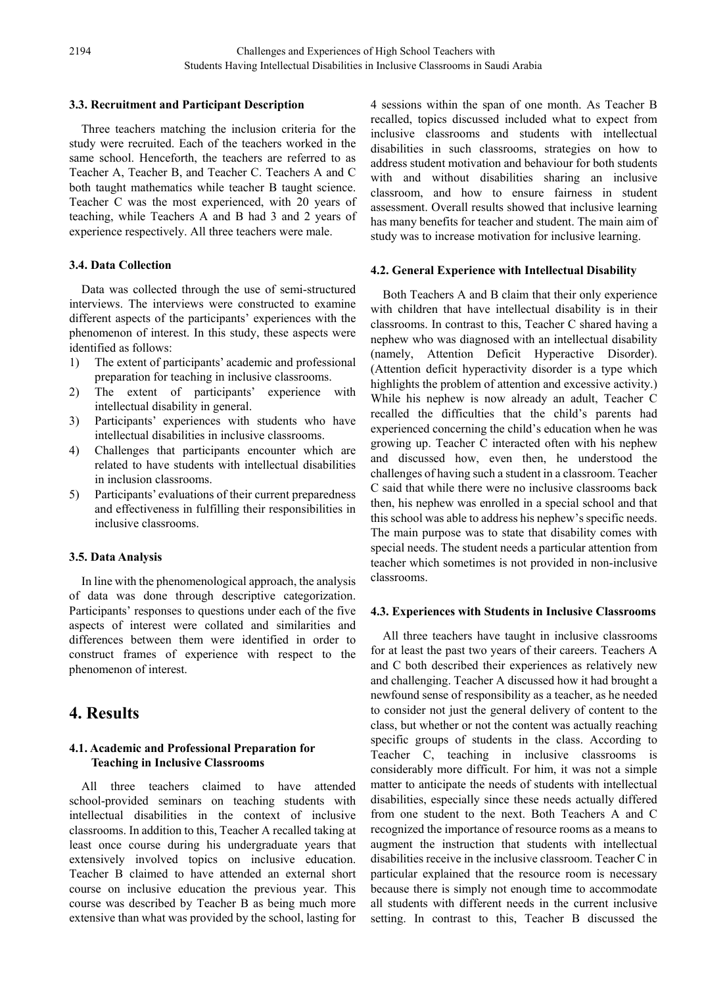#### **3.3. Recruitment and Participant Description**

Three teachers matching the inclusion criteria for the study were recruited. Each of the teachers worked in the same school. Henceforth, the teachers are referred to as Teacher A, Teacher B, and Teacher C. Teachers A and C both taught mathematics while teacher B taught science. Teacher C was the most experienced, with 20 years of teaching, while Teachers A and B had 3 and 2 years of experience respectively. All three teachers were male.

#### **3.4. Data Collection**

Data was collected through the use of semi-structured interviews. The interviews were constructed to examine different aspects of the participants' experiences with the phenomenon of interest. In this study, these aspects were identified as follows:

- 1) The extent of participants' academic and professional preparation for teaching in inclusive classrooms.
- 2) The extent of participants' experience with intellectual disability in general.
- 3) Participants' experiences with students who have intellectual disabilities in inclusive classrooms.
- 4) Challenges that participants encounter which are related to have students with intellectual disabilities in inclusion classrooms.
- 5) Participants' evaluations of their current preparedness and effectiveness in fulfilling their responsibilities in inclusive classrooms.

#### **3.5. Data Analysis**

In line with the phenomenological approach, the analysis of data was done through descriptive categorization. Participants' responses to questions under each of the five aspects of interest were collated and similarities and differences between them were identified in order to construct frames of experience with respect to the phenomenon of interest.

## **4. Results**

#### **4.1. Academic and Professional Preparation for Teaching in Inclusive Classrooms**

All three teachers claimed to have attended school-provided seminars on teaching students with intellectual disabilities in the context of inclusive classrooms. In addition to this, Teacher A recalled taking at least once course during his undergraduate years that extensively involved topics on inclusive education. Teacher B claimed to have attended an external short course on inclusive education the previous year. This course was described by Teacher B as being much more extensive than what was provided by the school, lasting for

4 sessions within the span of one month. As Teacher B recalled, topics discussed included what to expect from inclusive classrooms and students with intellectual disabilities in such classrooms, strategies on how to address student motivation and behaviour for both students with and without disabilities sharing an inclusive classroom, and how to ensure fairness in student assessment. Overall results showed that inclusive learning has many benefits for teacher and student. The main aim of study was to increase motivation for inclusive learning.

#### **4.2. General Experience with Intellectual Disability**

Both Teachers A and B claim that their only experience with children that have intellectual disability is in their classrooms. In contrast to this, Teacher C shared having a nephew who was diagnosed with an intellectual disability (namely, Attention Deficit Hyperactive Disorder). (Attention deficit hyperactivity disorder is a type which highlights the problem of attention and excessive activity.) While his nephew is now already an adult, Teacher C recalled the difficulties that the child's parents had experienced concerning the child's education when he was growing up. Teacher C interacted often with his nephew and discussed how, even then, he understood the challenges of having such a student in a classroom. Teacher C said that while there were no inclusive classrooms back then, his nephew was enrolled in a special school and that this school was able to address his nephew's specific needs. The main purpose was to state that disability comes with special needs. The student needs a particular attention from teacher which sometimes is not provided in non-inclusive classrooms.

#### **4.3. Experiences with Students in Inclusive Classrooms**

All three teachers have taught in inclusive classrooms for at least the past two years of their careers. Teachers A and C both described their experiences as relatively new and challenging. Teacher A discussed how it had brought a newfound sense of responsibility as a teacher, as he needed to consider not just the general delivery of content to the class, but whether or not the content was actually reaching specific groups of students in the class. According to Teacher C, teaching in inclusive classrooms is considerably more difficult. For him, it was not a simple matter to anticipate the needs of students with intellectual disabilities, especially since these needs actually differed from one student to the next. Both Teachers A and C recognized the importance of resource rooms as a means to augment the instruction that students with intellectual disabilities receive in the inclusive classroom. Teacher C in particular explained that the resource room is necessary because there is simply not enough time to accommodate all students with different needs in the current inclusive setting. In contrast to this, Teacher B discussed the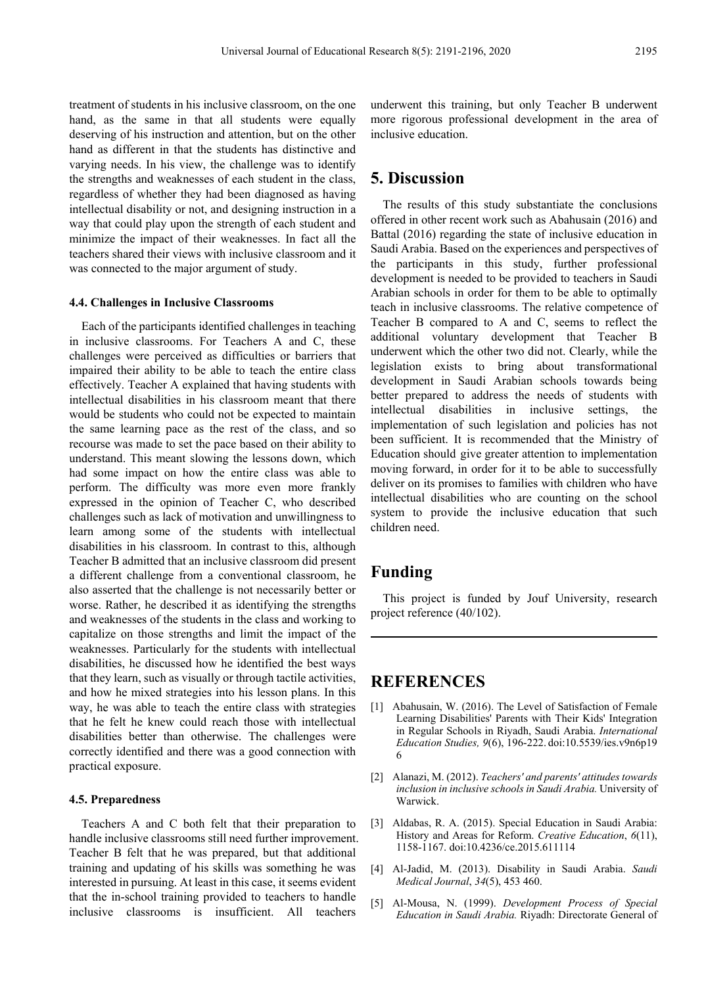treatment of students in his inclusive classroom, on the one hand, as the same in that all students were equally deserving of his instruction and attention, but on the other hand as different in that the students has distinctive and varying needs. In his view, the challenge was to identify the strengths and weaknesses of each student in the class, regardless of whether they had been diagnosed as having intellectual disability or not, and designing instruction in a way that could play upon the strength of each student and minimize the impact of their weaknesses. In fact all the teachers shared their views with inclusive classroom and it was connected to the major argument of study.

#### **4.4. Challenges in Inclusive Classrooms**

Each of the participants identified challenges in teaching in inclusive classrooms. For Teachers A and C, these challenges were perceived as difficulties or barriers that impaired their ability to be able to teach the entire class effectively. Teacher A explained that having students with intellectual disabilities in his classroom meant that there would be students who could not be expected to maintain the same learning pace as the rest of the class, and so recourse was made to set the pace based on their ability to understand. This meant slowing the lessons down, which had some impact on how the entire class was able to perform. The difficulty was more even more frankly expressed in the opinion of Teacher C, who described challenges such as lack of motivation and unwillingness to learn among some of the students with intellectual disabilities in his classroom. In contrast to this, although Teacher B admitted that an inclusive classroom did present a different challenge from a conventional classroom, he also asserted that the challenge is not necessarily better or worse. Rather, he described it as identifying the strengths and weaknesses of the students in the class and working to capitalize on those strengths and limit the impact of the weaknesses. Particularly for the students with intellectual disabilities, he discussed how he identified the best ways that they learn, such as visually or through tactile activities, and how he mixed strategies into his lesson plans. In this way, he was able to teach the entire class with strategies that he felt he knew could reach those with intellectual disabilities better than otherwise. The challenges were correctly identified and there was a good connection with practical exposure.

#### **4.5. Preparedness**

Teachers A and C both felt that their preparation to handle inclusive classrooms still need further improvement. Teacher B felt that he was prepared, but that additional training and updating of his skills was something he was interested in pursuing. At least in this case, it seems evident that the in-school training provided to teachers to handle inclusive classrooms is insufficient. All teachers

underwent this training, but only Teacher B underwent more rigorous professional development in the area of inclusive education.

## **5. Discussion**

The results of this study substantiate the conclusions offered in other recent work such as Abahusain (2016) and Battal (2016) regarding the state of inclusive education in Saudi Arabia. Based on the experiences and perspectives of the participants in this study, further professional development is needed to be provided to teachers in Saudi Arabian schools in order for them to be able to optimally teach in inclusive classrooms. The relative competence of Teacher B compared to A and C, seems to reflect the additional voluntary development that Teacher B underwent which the other two did not. Clearly, while the legislation exists to bring about transformational development in Saudi Arabian schools towards being better prepared to address the needs of students with intellectual disabilities in inclusive settings, the implementation of such legislation and policies has not been sufficient. It is recommended that the Ministry of Education should give greater attention to implementation moving forward, in order for it to be able to successfully deliver on its promises to families with children who have intellectual disabilities who are counting on the school system to provide the inclusive education that such children need.

## **Funding**

This project is funded by Jouf University, research project reference (40/102).

## **REFERENCES**

- [1] Abahusain, W. (2016). The Level of Satisfaction of Female Learning Disabilities' Parents with Their Kids' Integration in Regular Schools in Riyadh, Saudi Arabia. *International Education Studies, 9*(6), 196-222. [doi:10.5539/ies.v9n6p19](https://doi.org/10.5539/ies.v9n6p196) [6](https://doi.org/10.5539/ies.v9n6p196)
- [2] Alanazi, M. (2012). *Teachers' and parents' attitudes towards inclusion in inclusive schools in Saudi Arabia.* University of Warwick.
- [3] Aldabas, R. A. (2015). Special Education in Saudi Arabia: History and Areas for Reform. *Creative Education*, *6*(11), 1158-1167. [doi:10.4236/ce.2015.611114](https://doi.org/10.4236/ce.2015.611114)
- [4] Al-Jadid, M. (2013). Disability in Saudi Arabia. *Saudi Medical Journal*, *34*(5), 453 460.
- [5] Al-Mousa, N. (1999). *Development Process of Special Education in Saudi Arabia.* Riyadh: Directorate General of